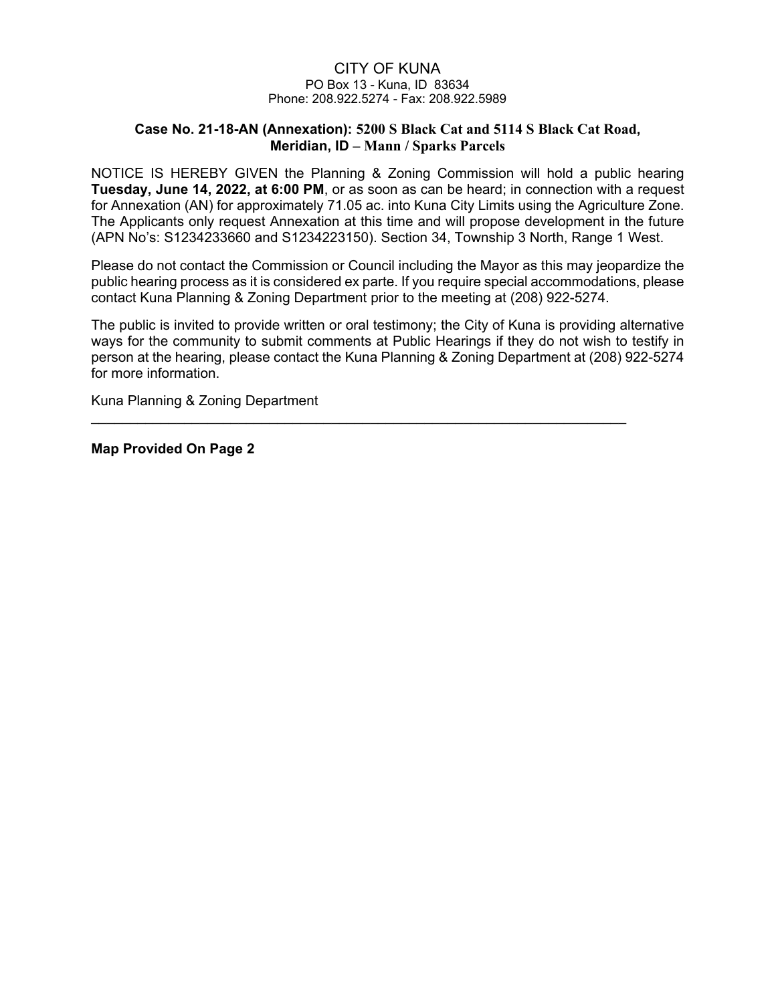## CITY OF KUNA PO Box 13 - Kuna, ID 83634 Phone: 208.922.5274 - Fax: 208.922.5989

## **Case No. 21-18-AN (Annexation): 5200 S Black Cat and 5114 S Black Cat Road, Meridian, ID – Mann / Sparks Parcels**

NOTICE IS HEREBY GIVEN the Planning & Zoning Commission will hold a public hearing **Tuesday, June 14, 2022, at 6:00 PM**, or as soon as can be heard; in connection with a request for Annexation (AN) for approximately 71.05 ac. into Kuna City Limits using the Agriculture Zone. The Applicants only request Annexation at this time and will propose development in the future (APN No's: S1234233660 and S1234223150). Section 34, Township 3 North, Range 1 West.

Please do not contact the Commission or Council including the Mayor as this may jeopardize the public hearing process as it is considered ex parte. If you require special accommodations, please contact Kuna Planning & Zoning Department prior to the meeting at (208) 922-5274.

The public is invited to provide written or oral testimony; the City of Kuna is providing alternative ways for the community to submit comments at Public Hearings if they do not wish to testify in person at the hearing, please contact the Kuna Planning & Zoning Department at (208) 922-5274 for more information.

 $\mathcal{L}_\text{max}$  and  $\mathcal{L}_\text{max}$  and  $\mathcal{L}_\text{max}$  and  $\mathcal{L}_\text{max}$  and  $\mathcal{L}_\text{max}$  and  $\mathcal{L}_\text{max}$ 

Kuna Planning & Zoning Department

**Map Provided On Page 2**